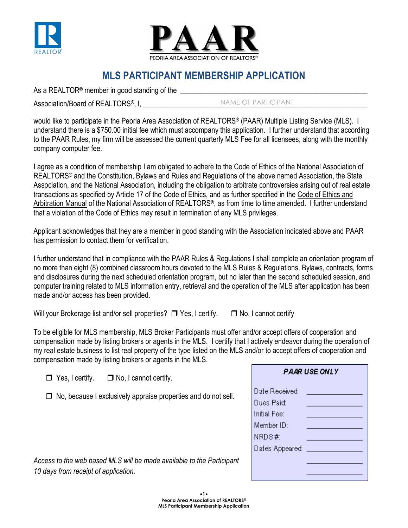



## **MLS PARTICIPANT MEMBERSHIP APPLICATION**

As a REALTOR<sup>®</sup> member in good standing of the \_\_\_\_\_\_\_\_\_\_\_\_\_\_\_\_\_\_\_\_\_\_\_\_\_\_\_\_\_\_\_\_\_\_

Association/Board of REALTORS<sup>®</sup>, I,

NAME OF PARTICIPANT

would like to participate in the Peoria Area Association of REALTORS® (PAAR) Multiple Listing Service (MLS). I understand there is a \$750.00 initial fee which must accompany this application. I further understand that according to the PAAR Rules, my firm will be assessed the current quarterly MLS Fee for all licensees, along with the monthly company computer fee.

I agree as a condition of membership I am obligated to adhere to the Code of Ethics of the National Association of REALTORS<sup>®</sup> and the Constitution, Bylaws and Rules and Regulations of the above named Association, the State Association, and the National Association, including the obligation to arbitrate controversies arising out of real estate transactions as specified by Article 17 of the Code of Ethics, and as further specified in the Code of Ethics and Arbitration Manual of the National Association of REALTORS®, as from time to time amended. I further understand that a violation of the Code of Ethics may result in termination of any MLS privileges.

Applicant acknowledges that they are a member in good standing with the Association indicated above and PAAR has permission to contact them for verification.

I further understand that in compliance with the PAAR Rules & Regulations I shall complete an orientation program of no more than eight (8) combined classroom hours devoted to the MLS Rules & Regulations, Bylaws, contracts, forms and disclosures during the next scheduled orientation program, but no later than the second scheduled session, and computer training related to MLS information entry, retrieval and the operation of the MLS after application has been made and/or access has been provided.

Will your Brokerage list and/or sell properties?  $\Box$  Yes, I certify.  $\Box$  No, I cannot certify

To be eligible for MLS membership, MLS Broker Participants must offer and/or accept offers of cooperation and compensation made by listing brokers or agents in the MLS. I certify that I actively endeavor during the operation of my real estate business to list real property of the type listed on the MLS and/or to accept offers of cooperation and compensation made by listing brokers or agents in the MLS.

| $\Box$ Yes, I certify. | $\Box$ No, I cannot certify. |
|------------------------|------------------------------|
|------------------------|------------------------------|

 $\Box$  No, because I exclusively appraise properties and do not sell.

| <b>PAAR USE ONLY</b>                        |                                   |  |  |
|---------------------------------------------|-----------------------------------|--|--|
| Date Received:<br>Dues Paid:<br>nitial Fee: | the control of the control of the |  |  |
| Member ID:<br>VRDS#:                        |                                   |  |  |
|                                             | Dates Appeared: _________________ |  |  |
|                                             |                                   |  |  |

*Access to the web based MLS will be made available to the Participant 10 days from receipt of application.*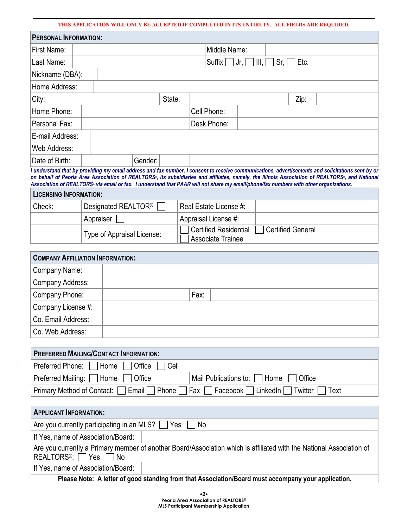## **THIS APPLICATION WILL ONLY BE ACCEPTED IF COMPLETED IN ITS ENTIRETY. ALL FIELDS ARE REQUIRED.**

| <b>PERSONAL INFORMATION:</b> |        |  |             |  |                                                      |              |  |      |  |  |
|------------------------------|--------|--|-------------|--|------------------------------------------------------|--------------|--|------|--|--|
| First Name:                  |        |  |             |  |                                                      | Middle Name: |  |      |  |  |
| Last Name:                   |        |  |             |  | Suffix $\Box$ Jr, $\Box$ III, $\Box$ Sr, $\Box$ Etc. |              |  |      |  |  |
| Nickname (DBA):              |        |  |             |  |                                                      |              |  |      |  |  |
| Home Address:                |        |  |             |  |                                                      |              |  |      |  |  |
| City:                        | State: |  |             |  |                                                      |              |  | Zip: |  |  |
| Home Phone:                  |        |  | Cell Phone: |  |                                                      |              |  |      |  |  |
| Personal Fax:                |        |  | Desk Phone: |  |                                                      |              |  |      |  |  |
| E-mail Address:              |        |  |             |  |                                                      |              |  |      |  |  |
| <b>Web Address:</b>          |        |  |             |  |                                                      |              |  |      |  |  |
| Date of Birth:               |        |  | Gender:     |  |                                                      |              |  |      |  |  |

*I understand that by providing my email address and fax number, I consent to receive communications, advertisements and solicitations sent by or on behalf of Peoria Area Association of REALTORS®, its subsidiaries and affiliates, namely, the Illinois Association of REALTORS®, and National Association of REALTORS® via email or fax. I understand that PAAR will not share my email/phone/fax numbers with other organizations.*

| <b>LICENSING INFORMATION:</b> |                                 |                                                                        |
|-------------------------------|---------------------------------|------------------------------------------------------------------------|
| Check:                        | Designated REALTOR <sup>®</sup> | Real Estate License #:                                                 |
|                               | Appraiser                       | Appraisal License #:                                                   |
|                               | Type of Appraisal License:      | Certified Residential<br>Certified General<br><b>Associate Trainee</b> |

| <b>COMPANY AFFILIATION INFORMATION:</b> |      |  |  |  |
|-----------------------------------------|------|--|--|--|
| Company Name:                           |      |  |  |  |
| Company Address:                        |      |  |  |  |
| Company Phone:                          | Fax: |  |  |  |
| Company License #:                      |      |  |  |  |
| Co. Email Address:                      |      |  |  |  |
| Co. Web Address:                        |      |  |  |  |

| <b>PREFERRED MAILING/CONTACT INFORMATION:</b>                                                                        |  |  |  |  |
|----------------------------------------------------------------------------------------------------------------------|--|--|--|--|
| Preferred Phone:     Home     Office  <br>$ $ Cell                                                                   |  |  |  |  |
| Preferred Mailing: Home<br>Mail Publications to:     Home     Office<br>Office                                       |  |  |  |  |
| Primary Method of Contact: Email Phone Fax Facebook LinkedIn Twitter Text                                            |  |  |  |  |
|                                                                                                                      |  |  |  |  |
| <b>APPLICANT INFORMATION:</b>                                                                                        |  |  |  |  |
| Are you currently participating in an MLS? $\Box$ Yes $\Box$ No                                                      |  |  |  |  |
| If Yes, name of Association/Board:                                                                                   |  |  |  |  |
| Are you currently a Primary member of another Board/Association which is affiliated with the National Association of |  |  |  |  |

REALTORS®: Yes No

If Yes, name of Association/Board:

**Please Note: A letter of good standing from that Association/Board must accompany your application.**